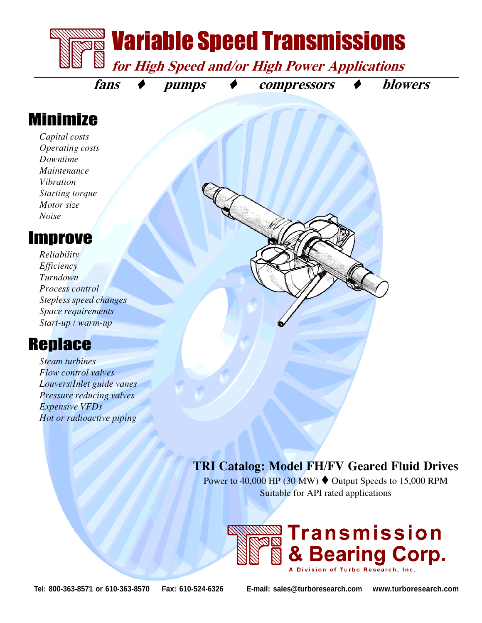

## Minimize

Capital costs Operating costs Downtime Maintenance Vibration Starting torque Motor size Noise

#### Improve

Reliability Efficiency Turndown Process control Stepless speed changes Space requirements Start-up / warm-up

# **Replace**

Steam turbines Flow control valves Louvers/Inlet guide vanes Pressure reducing valves Expensive VFDs Hot or radioactive piping

#### TRI Catalog: Model FH/FV Geared Fluid Drives

Power to 40,000 HP (30 MW)  $\blacklozenge$  Output Speeds to 15,000 RPM Suitable for API rated applications



**Tel: 800-363-8571 or 610-363-8570 Fax: 610-524-6326 E-mail: sales@turboresearch.com www.turboresearch.com**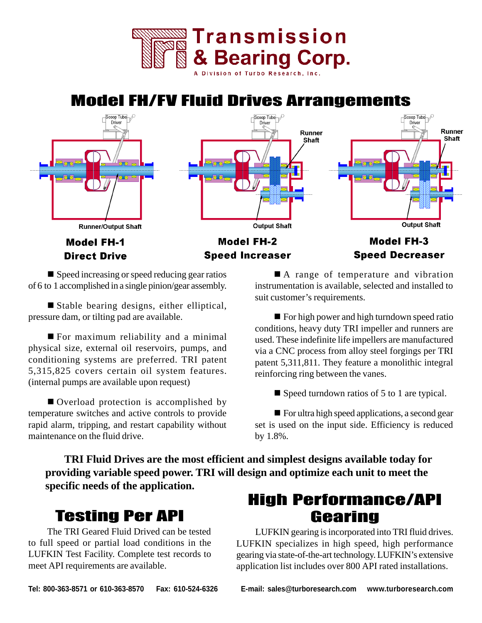

# Model FH/FV Fluid Drives Arrangements



 $\blacksquare$  Speed increasing or speed reducing gear ratios of 6 to 1 accomplished in a single pinion/gear assembly.

■ Stable bearing designs, either elliptical, pressure dam, or tilting pad are available.

 $\blacksquare$  For maximum reliability and a minimal physical size, external oil reservoirs, pumps, and conditioning systems are preferred. TRI patent 5,315,825 covers certain oil system features. (internal pumps are available upon request)

■ Overload protection is accomplished by temperature switches and active controls to provide rapid alarm, tripping, and restart capability without maintenance on the fluid drive.

■ A range of temperature and vibration instrumentation is available, selected and installed to suit customer's requirements.

 $\blacksquare$  For high power and high turndown speed ratio conditions, heavy duty TRI impeller and runners are used. These indefinite life impellers are manufactured via a CNC process from alloy steel forgings per TRI patent 5,311,811. They feature a monolithic integral reinforcing ring between the vanes.

 $\blacksquare$  Speed turndown ratios of 5 to 1 are typical.

 $\blacksquare$  For ultra high speed applications, a second gear set is used on the input side. Efficiency is reduced by 1.8%.

**TRI Fluid Drives are the most efficient and simplest designs available today for providing variable speed power. TRI will design and optimize each unit to meet the specific needs of the application.**

#### Testing Per API

The TRI Geared Fluid Drived can be tested to full speed or partial load conditions in the LUFKIN Test Facility. Complete test records to meet API requirements are available.

## High Performance/API Gearing

LUFKIN gearing is incorporated into TRI fluid drives. LUFKIN specializes in high speed, high performance gearing via state-of-the-art technology. LUFKIN's extensive application list includes over 800 API rated installations.

**Tel: 800-363-8571 or 610-363-8570 Fax: 610-524-6326 E-mail: sales@turboresearch.com www.turboresearch.com**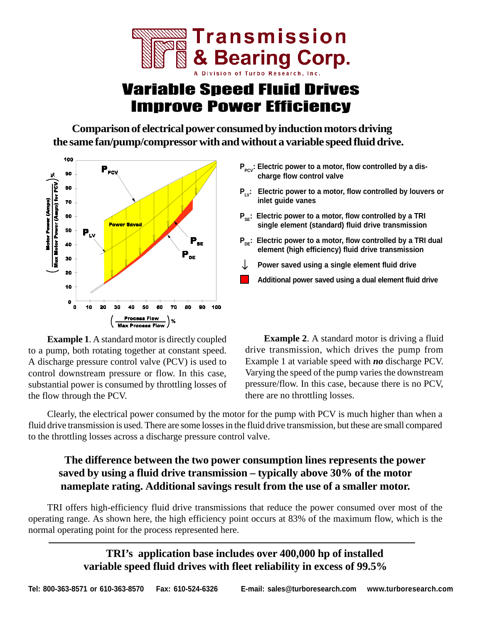

# Variable Speed Fluid Drives Improve Power Efficiency

**Comparison of electrical power consumed by induction motors driving the same fan/pump/compressor with and without a variable speed fluid drive.**



**Example 1**. A standard motor is directly coupled to a pump, both rotating together at constant speed. A discharge pressure control valve (PCV) is used to control downstream pressure or flow. In this case, substantial power is consumed by throttling losses of the flow through the PCV.

- P<sub>pcy</sub>: Electric power to a motor, flow controlled by a dis**charge flow control valve**
- **P<sub>LV</sub>: Electric power to a motor, flow controlled by louvers or inlet guide vanes**
- **P<sub>se</sub>: Electric power to a motor, flow controlled by a TRI single element (standard) fluid drive transmission**
- **P<sub>pe</sub>: Electric power to a motor, flow controlled by a TRI dual element (high efficiency) fluid drive transmission**
- **Power saved using a single element fluid drive**
- **Additional power saved using a dual element fluid drive**

**Example 2.** A standard motor is driving a fluid drive transmission, which drives the pump from Example 1 at variable speed with *no* discharge PCV. Varying the speed of the pump varies the downstream pressure/flow. In this case, because there is no PCV, there are no throttling losses.

Clearly, the electrical power consumed by the motor for the pump with PCV is much higher than when a fluid drive transmission is used. There are some losses in the fluid drive transmission, but these are small compared to the throttling losses across a discharge pressure control valve.

#### **The difference between the two power consumption lines represents the power saved by using a fluid drive transmission – typically above 30% of the motor nameplate rating. Additional savings result from the use of a smaller motor.**

TRI offers high-efficiency fluid drive transmissions that reduce the power consumed over most of the operating range. As shown here, the high efficiency point occurs at 83% of the maximum flow, which is the normal operating point for the process represented here.

> **TRI's application base includes over 400,000 hp of installed variable speed fluid drives with fleet reliability in excess of 99.5%**